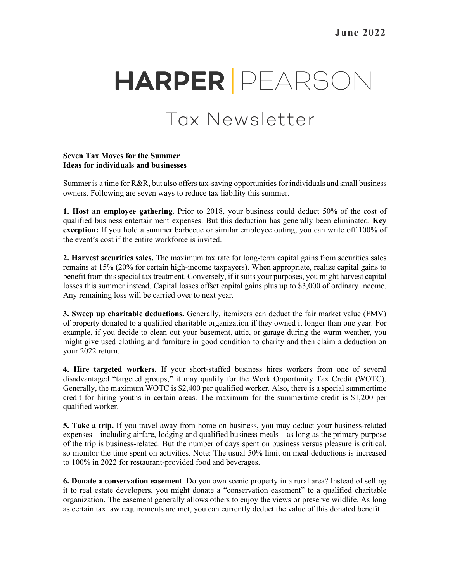# **HARPER** PEARSON

## Tax Newsletter

#### **Seven Tax Moves for the Summer Ideas for individuals and businesses**

Summer is a time for R&R, but also offers tax-saving opportunities for individuals and small business owners. Following are seven ways to reduce tax liability this summer.

**1. Host an employee gathering.** Prior to 2018, your business could deduct 50% of the cost of qualified business entertainment expenses. But this deduction has generally been eliminated. **Key exception:** If you hold a summer barbecue or similar employee outing, you can write off 100% of the event's cost if the entire workforce is invited.

**2. Harvest securities sales.** The maximum tax rate for long-term capital gains from securities sales remains at 15% (20% for certain high-income taxpayers). When appropriate, realize capital gains to benefit from this special tax treatment. Conversely, if it suits your purposes, you might harvest capital losses this summer instead. Capital losses offset capital gains plus up to \$3,000 of ordinary income. Any remaining loss will be carried over to next year.

**3. Sweep up charitable deductions.** Generally, itemizers can deduct the fair market value (FMV) of property donated to a qualified charitable organization if they owned it longer than one year. For example, if you decide to clean out your basement, attic, or garage during the warm weather, you might give used clothing and furniture in good condition to charity and then claim a deduction on your 2022 return.

**4. Hire targeted workers.** If your short-staffed business hires workers from one of several disadvantaged "targeted groups," it may qualify for the Work Opportunity Tax Credit (WOTC). Generally, the maximum WOTC is \$2,400 per qualified worker. Also, there is a special summertime credit for hiring youths in certain areas. The maximum for the summertime credit is \$1,200 per qualified worker.

**5. Take a trip.** If you travel away from home on business, you may deduct your business-related expenses—including airfare, lodging and qualified business meals—as long as the primary purpose of the trip is business-related. But the number of days spent on business versus pleasure is critical, so monitor the time spent on activities. Note: The usual 50% limit on meal deductions is increased to 100% in 2022 for restaurant-provided food and beverages.

**6. Donate a conservation easement**. Do you own scenic property in a rural area? Instead of selling it to real estate developers, you might donate a "conservation easement" to a qualified charitable organization. The easement generally allows others to enjoy the views or preserve wildlife. As long as certain tax law requirements are met, you can currently deduct the value of this donated benefit.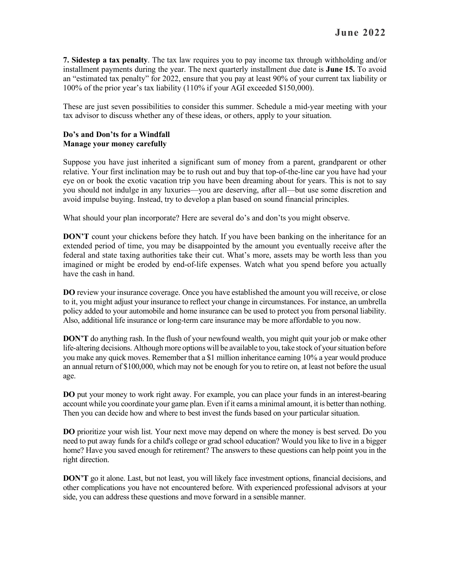**7. Sidestep a tax penalty**. The tax law requires you to pay income tax through withholding and/or installment payments during the year. The next quarterly installment due date is **June 15.** To avoid an "estimated tax penalty" for 2022, ensure that you pay at least 90% of your current tax liability or 100% of the prior year's tax liability (110% if your AGI exceeded \$150,000).

These are just seven possibilities to consider this summer. Schedule a mid-year meeting with your tax advisor to discuss whether any of these ideas, or others, apply to your situation.

#### **Do's and Don'ts for a Windfall Manage your money carefully**

Suppose you have just inherited a significant sum of money from a parent, grandparent or other relative. Your first inclination may be to rush out and buy that top-of-the-line car you have had your eye on or book the exotic vacation trip you have been dreaming about for years. This is not to say you should not indulge in any luxuries—you are deserving, after all—but use some discretion and avoid impulse buying. Instead, try to develop a plan based on sound financial principles.

What should your plan incorporate? Here are several do's and don'ts you might observe.

**DON'T** count your chickens before they hatch. If you have been banking on the inheritance for an extended period of time, you may be disappointed by the amount you eventually receive after the federal and state taxing authorities take their cut. What's more, assets may be worth less than you imagined or might be eroded by end-of-life expenses. Watch what you spend before you actually have the cash in hand.

**DO** review your insurance coverage. Once you have established the amount you will receive, or close to it, you might adjust your insurance to reflect your change in circumstances. For instance, an umbrella policy added to your automobile and home insurance can be used to protect you from personal liability. Also, additional life insurance or long-term care insurance may be more affordable to you now.

**DON'T** do anything rash. In the flush of your newfound wealth, you might quit your job or make other life-altering decisions. Although more options will be available to you, take stock of your situation before you make any quick moves. Remember that a \$1 million inheritance earning 10% a year would produce an annual return of \$100,000, which may not be enough for you to retire on, at least not before the usual age.

**DO** put your money to work right away. For example, you can place your funds in an interest-bearing account while you coordinate your game plan. Even if it earns a minimal amount, it is better than nothing. Then you can decide how and where to best invest the funds based on your particular situation.

**DO** prioritize your wish list. Your next move may depend on where the money is best served. Do you need to put away funds for a child's college or grad school education? Would you like to live in a bigger home? Have you saved enough for retirement? The answers to these questions can help point you in the right direction.

**DON'T** go it alone. Last, but not least, you will likely face investment options, financial decisions, and other complications you have not encountered before. With experienced professional advisors at your side, you can address these questions and move forward in a sensible manner.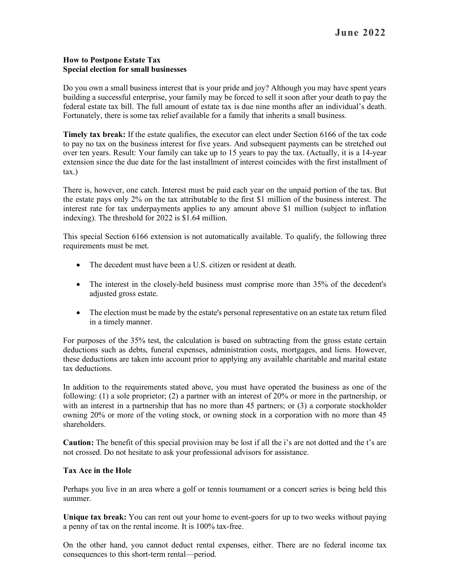#### **How to Postpone Estate Tax Special election for small businesses**

Do you own a small business interest that is your pride and joy? Although you may have spent years building a successful enterprise, your family may be forced to sell it soon after your death to pay the federal estate tax bill. The full amount of estate tax is due nine months after an individual's death. Fortunately, there is some tax relief available for a family that inherits a small business.

**Timely tax break:** If the estate qualifies, the executor can elect under Section 6166 of the tax code to pay no tax on the business interest for five years. And subsequent payments can be stretched out over ten years. Result: Your family can take up to 15 years to pay the tax. (Actually, it is a 14-year extension since the due date for the last installment of interest coincides with the first installment of tax.)

There is, however, one catch. Interest must be paid each year on the unpaid portion of the tax. But the estate pays only 2% on the tax attributable to the first \$1 million of the business interest. The interest rate for tax underpayments applies to any amount above \$1 million (subject to inflation indexing). The threshold for 2022 is \$1.64 million.

This special Section 6166 extension is not automatically available. To qualify, the following three requirements must be met.

- The decedent must have been a U.S. citizen or resident at death.
- The interest in the closely-held business must comprise more than 35% of the decedent's adjusted gross estate.
- The election must be made by the estate's personal representative on an estate tax return filed in a timely manner.

For purposes of the 35% test, the calculation is based on subtracting from the gross estate certain deductions such as debts, funeral expenses, administration costs, mortgages, and liens. However, these deductions are taken into account prior to applying any available charitable and marital estate tax deductions.

In addition to the requirements stated above, you must have operated the business as one of the following: (1) a sole proprietor; (2) a partner with an interest of 20% or more in the partnership, or with an interest in a partnership that has no more than 45 partners; or (3) a corporate stockholder owning 20% or more of the voting stock, or owning stock in a corporation with no more than 45 shareholders.

**Caution:** The benefit of this special provision may be lost if all the i's are not dotted and the t's are not crossed. Do not hesitate to ask your professional advisors for assistance.

### **Tax Ace in the Hole**

Perhaps you live in an area where a golf or tennis tournament or a concert series is being held this summer.

**Unique tax break:** You can rent out your home to event-goers for up to two weeks without paying a penny of tax on the rental income. It is 100% tax-free.

On the other hand, you cannot deduct rental expenses, either. There are no federal income tax consequences to this short-term rental—period.